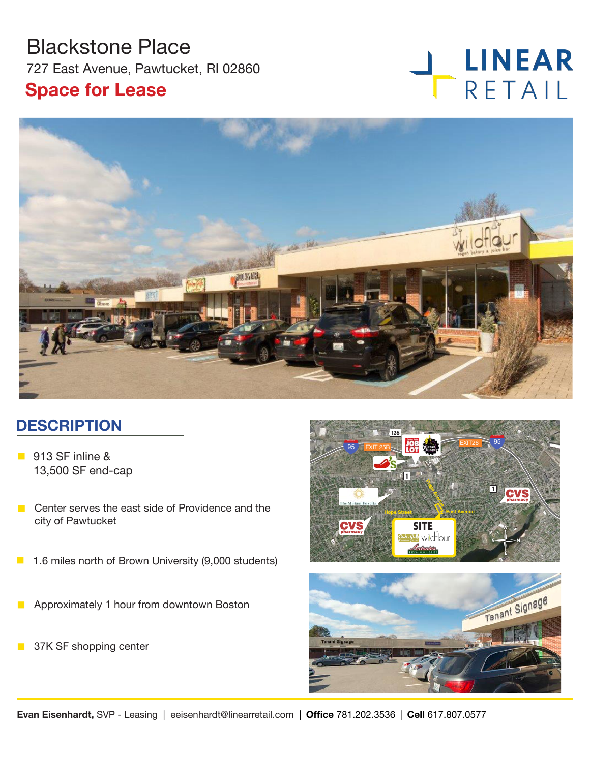## Blackstone Place

727 East Avenue, Pawtucket, RI 02860

### **Space for Lease**

# **LINEAR** RETAIL



## **DESCRIPTION**

- 913 SF inline & 13,500 SF end-cap
- $\blacksquare$  Center serves the east side of Providence and the city of Pawtucket
- 1.6 miles north of Brown University (9,000 students)
- **n** Approximately 1 hour from downtown Boston
- **n** 37K SF shopping center